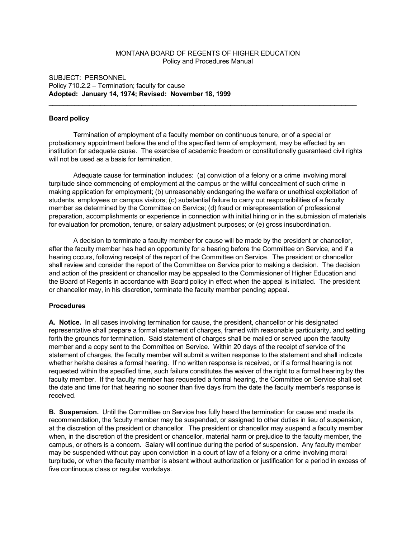# MONTANA BOARD OF REGENTS OF HIGHER EDUCATION Policy and Procedures Manual

## SUBJECT: PERSONNEL Policy 710.2.2 – Termination; faculty for cause **Adopted: January 14, 1974; Revised: November 18, 1999**

## **Board policy**

Termination of employment of a faculty member on continuous tenure, or of a special or probationary appointment before the end of the specified term of employment, may be effected by an institution for adequate cause. The exercise of academic freedom or constitutionally guaranteed civil rights will not be used as a basis for termination.

\_\_\_\_\_\_\_\_\_\_\_\_\_\_\_\_\_\_\_\_\_\_\_\_\_\_\_\_\_\_\_\_\_\_\_\_\_\_\_\_\_\_\_\_\_\_\_\_\_\_\_\_\_\_\_\_\_\_\_\_\_\_\_\_\_\_\_\_\_\_\_\_\_\_\_\_\_\_\_\_\_\_\_

Adequate cause for termination includes: (a) conviction of a felony or a crime involving moral turpitude since commencing of employment at the campus or the willful concealment of such crime in making application for employment; (b) unreasonably endangering the welfare or unethical exploitation of students, employees or campus visitors; (c) substantial failure to carry out responsibilities of a faculty member as determined by the Committee on Service; (d) fraud or misrepresentation of professional preparation, accomplishments or experience in connection with initial hiring or in the submission of materials for evaluation for promotion, tenure, or salary adjustment purposes; or (e) gross insubordination.

A decision to terminate a faculty member for cause will be made by the president or chancellor, after the faculty member has had an opportunity for a hearing before the Committee on Service, and if a hearing occurs, following receipt of the report of the Committee on Service. The president or chancellor shall review and consider the report of the Committee on Service prior to making a decision. The decision and action of the president or chancellor may be appealed to the Commissioner of Higher Education and the Board of Regents in accordance with Board policy in effect when the appeal is initiated. The president or chancellor may, in his discretion, terminate the faculty member pending appeal.

### **Procedures**

**A. Notice.** In all cases involving termination for cause, the president, chancellor or his designated representative shall prepare a formal statement of charges, framed with reasonable particularity, and setting forth the grounds for termination. Said statement of charges shall be mailed or served upon the faculty member and a copy sent to the Committee on Service. Within 20 days of the receipt of service of the statement of charges, the faculty member will submit a written response to the statement and shall indicate whether he/she desires a formal hearing. If no written response is received, or if a formal hearing is not requested within the specified time, such failure constitutes the waiver of the right to a formal hearing by the faculty member. If the faculty member has requested a formal hearing, the Committee on Service shall set the date and time for that hearing no sooner than five days from the date the faculty member's response is received.

**B. Suspension.** Until the Committee on Service has fully heard the termination for cause and made its recommendation, the faculty member may be suspended, or assigned to other duties in lieu of suspension, at the discretion of the president or chancellor. The president or chancellor may suspend a faculty member when, in the discretion of the president or chancellor, material harm or prejudice to the faculty member, the campus, or others is a concern. Salary will continue during the period of suspension. Any faculty member may be suspended without pay upon conviction in a court of law of a felony or a crime involving moral turpitude, or when the faculty member is absent without authorization or justification for a period in excess of five continuous class or regular workdays.